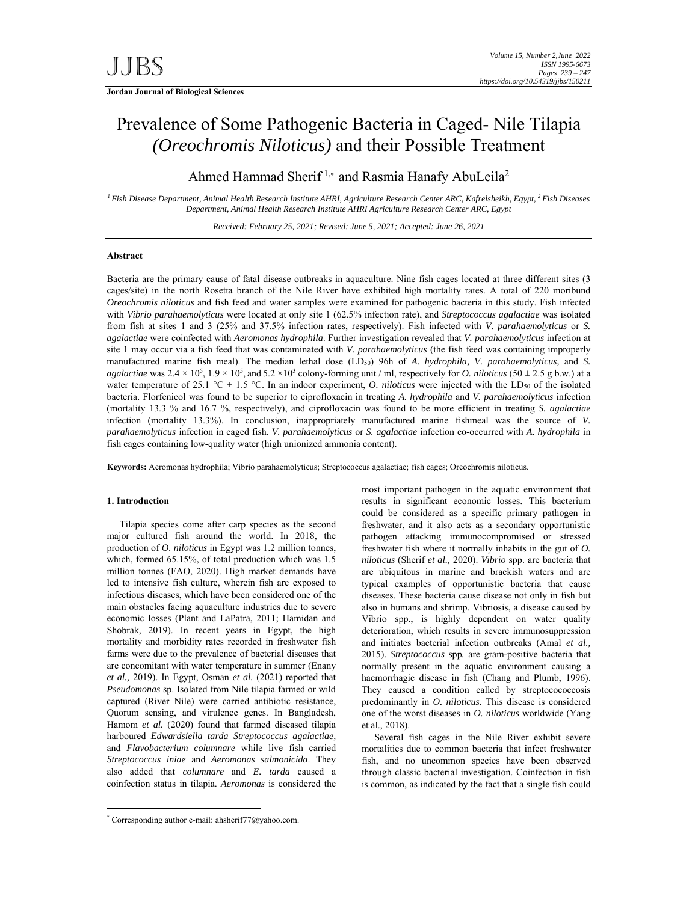# Prevalence of Some Pathogenic Bacteria in Caged- Nile Tilapia *(Oreochromis Niloticus)* and their Possible Treatment

Ahmed Hammad Sherif<sup>1,\*</sup> and Rasmia Hanafy AbuLeila<sup>2</sup>

*1 Fish Disease Department, Animal Health Research Institute AHRI, Agriculture Research Center ARC, Kafrelsheikh, Egypt, 2 Fish Diseases Department, Animal Health Research Institute AHRI Agriculture Research Center ARC, Egypt*

*Received: February 25, 2021; Revised: June 5, 2021; Accepted: June 26, 2021* 

# **Abstract**

Bacteria are the primary cause of fatal disease outbreaks in aquaculture. Nine fish cages located at three different sites (3 cages/site) in the north Rosetta branch of the Nile River have exhibited high mortality rates. A total of 220 moribund *Oreochromis niloticus* and fish feed and water samples were examined for pathogenic bacteria in this study. Fish infected with *Vibrio parahaemolyticus* were located at only site 1 (62.5% infection rate), and *Streptococcus agalactiae* was isolated from fish at sites 1 and 3 (25% and 37.5% infection rates, respectively). Fish infected with *V. parahaemolyticus* or *S. agalactiae* were coinfected with *Aeromonas hydrophila*. Further investigation revealed that *V. parahaemolyticus* infection at site 1 may occur via a fish feed that was contaminated with *V. parahaemolyticus* (the fish feed was containing improperly manufactured marine fish meal). The median lethal dose (LD50) 96h of *A. hydrophila, V. parahaemolyticus,* and *S. agalactiae* was  $2.4 \times 10^5$ ,  $1.9 \times 10^5$ , and  $5.2 \times 10^3$  colony-forming unit / ml, respectively for *O. niloticus* (50  $\pm$  2.5 g b.w.) at a water temperature of 25.1 °C  $\pm$  1.5 °C. In an indoor experiment, *O. niloticus* were injected with the LD<sub>50</sub> of the isolated bacteria. Florfenicol was found to be superior to ciprofloxacin in treating *A. hydrophila* and *V. parahaemolyticus* infection (mortality 13.3 % and 16.7 %, respectively), and ciprofloxacin was found to be more efficient in treating *S. agalactiae* infection (mortality 13.3%). In conclusion, inappropriately manufactured marine fishmeal was the source of *V. parahaemolyticus* infection in caged fish. *V. parahaemolyticus* or *S. agalactiae* infection co-occurred with *A. hydrophila* in fish cages containing low-quality water (high unionized ammonia content).

**Keywords:** Aeromonas hydrophila; Vibrio parahaemolyticus; Streptococcus agalactiae; fish cages; Oreochromis niloticus.

## **1. Introduction**

-

Tilapia species come after carp species as the second major cultured fish around the world. In 2018, the production of *O. niloticus* in Egypt was 1.2 million tonnes, which, formed 65.15%, of total production which was 1.5 million tonnes (FAO, 2020). High market demands have led to intensive fish culture, wherein fish are exposed to infectious diseases, which have been considered one of the main obstacles facing aquaculture industries due to severe economic losses (Plant and LaPatra, 2011; Hamidan and Shobrak, 2019). In recent years in Egypt, the high mortality and morbidity rates recorded in freshwater fish farms were due to the prevalence of bacterial diseases that are concomitant with water temperature in summer (Enany *et al.,* 2019). In Egypt, Osman *et al.* (2021) reported that *Pseudomonas* sp. Isolated from Nile tilapia farmed or wild captured (River Nile) were carried antibiotic resistance, Quorum sensing, and virulence genes. In Bangladesh, Hamom *et al.* (2020) found that farmed diseased tilapia harboured *Edwardsiella tarda Streptococcus agalactiae,*  and *Flavobacterium columnare* while live fish carried *Streptococcus iniae* and *Aeromonas salmonicida*. They also added that *columnare* and *E. tarda* caused a coinfection status in tilapia. *Aeromonas* is considered the

Several fish cages in the Nile River exhibit severe mortalities due to common bacteria that infect freshwater fish, and no uncommon species have been observed through classic bacterial investigation. Coinfection in fish is common, as indicated by the fact that a single fish could

most important pathogen in the aquatic environment that results in significant economic losses. This bacterium could be considered as a specific primary pathogen in freshwater, and it also acts as a secondary opportunistic pathogen attacking immunocompromised or stressed freshwater fish where it normally inhabits in the gut of *O. niloticus* (Sherif *et al.,* 2020). *Vibrio* spp. are bacteria that are ubiquitous in marine and brackish waters and are typical examples of opportunistic bacteria that cause diseases. These bacteria cause disease not only in fish but also in humans and shrimp. Vibriosis, a disease caused by Vibrio spp., is highly dependent on water quality deterioration, which results in severe immunosuppression and initiates bacterial infection outbreaks (Amal *et al.,*  2015). *Streptococcus* spp*.* are gram-positive bacteria that normally present in the aquatic environment causing a haemorrhagic disease in fish (Chang and Plumb, 1996). They caused a condition called by streptocococcosis predominantly in *O. niloticus*. This disease is considered one of the worst diseases in *O. niloticus* worldwide (Yang et al., 2018).

<sup>\*</sup> Corresponding author e-mail: ahsherif77@yahoo.com.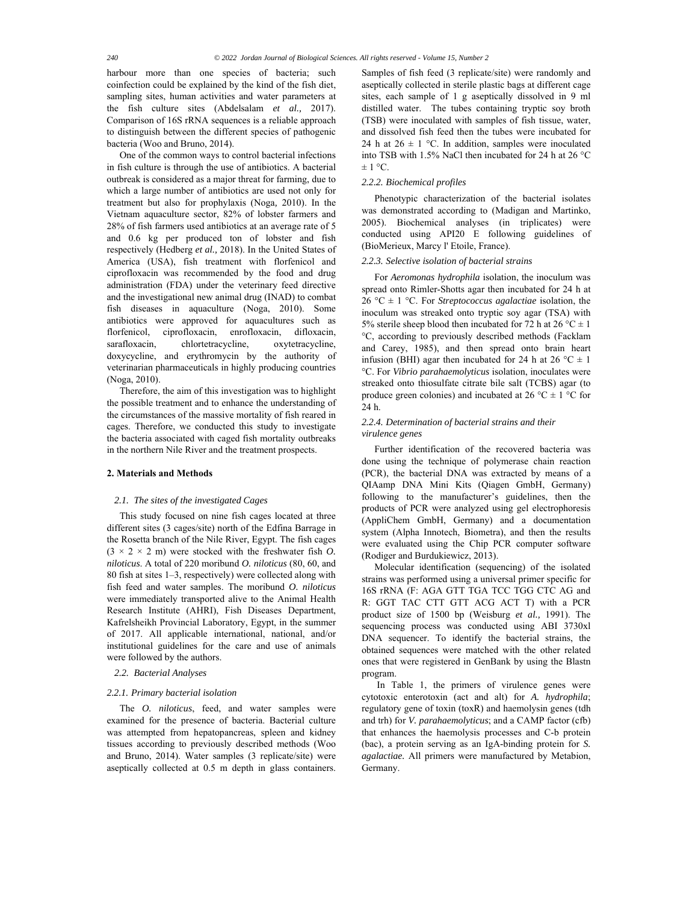harbour more than one species of bacteria; such coinfection could be explained by the kind of the fish diet, sampling sites, human activities and water parameters at the fish culture sites (Abdelsalam *et al.,* 2017). Comparison of 16S rRNA sequences is a reliable approach to distinguish between the different species of pathogenic bacteria (Woo and Bruno, 2014).

One of the common ways to control bacterial infections in fish culture is through the use of antibiotics. A bacterial outbreak is considered as a major threat for farming, due to which a large number of antibiotics are used not only for treatment but also for prophylaxis (Noga*,* 2010). In the Vietnam aquaculture sector, 82% of lobster farmers and 28% of fish farmers used antibiotics at an average rate of 5 and 0.6 kg per produced ton of lobster and fish respectively (Hedberg *et al.,* 2018). In the United States of America (USA), fish treatment with florfenicol and ciprofloxacin was recommended by the food and drug administration (FDA) under the veterinary feed directive and the investigational new animal drug (INAD) to combat fish diseases in aquaculture (Noga, 2010). Some antibiotics were approved for aquacultures such as florfenicol, ciprofloxacin, enrofloxacin, difloxacin, sarafloxacin, chlortetracycline, oxytetracycline, doxycycline, and erythromycin by the authority of veterinarian pharmaceuticals in highly producing countries (Noga, 2010).

Therefore, the aim of this investigation was to highlight the possible treatment and to enhance the understanding of the circumstances of the massive mortality of fish reared in cages. Therefore, we conducted this study to investigate the bacteria associated with caged fish mortality outbreaks in the northern Nile River and the treatment prospects.

#### **2. Materials and Methods**

# *2.1. The sites of the investigated Cages*

This study focused on nine fish cages located at three different sites (3 cages/site) north of the Edfina Barrage in the Rosetta branch of the Nile River, Egypt. The fish cages  $(3 \times 2 \times 2 \text{ m})$  were stocked with the freshwater fish *O*. *niloticus*. A total of 220 moribund *O. niloticus* (80, 60, and 80 fish at sites 1–3, respectively) were collected along with fish feed and water samples. The moribund *O. niloticus* were immediately transported alive to the Animal Health Research Institute (AHRI), Fish Diseases Department, Kafrelsheikh Provincial Laboratory, Egypt, in the summer of 2017. All applicable international, national, and/or institutional guidelines for the care and use of animals were followed by the authors.

*2.2. Bacterial Analyses* 

#### *2.2.1. Primary bacterial isolation*

The *O. niloticus*, feed, and water samples were examined for the presence of bacteria. Bacterial culture was attempted from hepatopancreas, spleen and kidney tissues according to previously described methods (Woo and Bruno, 2014). Water samples (3 replicate/site) were aseptically collected at 0.5 m depth in glass containers.

Samples of fish feed (3 replicate/site) were randomly and aseptically collected in sterile plastic bags at different cage sites, each sample of 1 g aseptically dissolved in 9 ml distilled water. The tubes containing tryptic soy broth (TSB) were inoculated with samples of fish tissue, water, and dissolved fish feed then the tubes were incubated for 24 h at  $26 \pm 1$  °C. In addition, samples were inoculated into TSB with 1.5% NaCl then incubated for 24 h at 26 °C  $\pm$  1 °C.

## *2.2.2. Biochemical profiles*

Phenotypic characterization of the bacterial isolates was demonstrated according to (Madigan and Martinko, 2005). Biochemical analyses (in triplicates) were conducted using API20 E following guidelines of (BioMerieux, Marcy l' Etoile, France).

# *2.2.3. Selective isolation of bacterial strains*

For *Aeromonas hydrophila* isolation, the inoculum was spread onto Rimler-Shotts agar then incubated for 24 h at 26 °C  $\pm$  1 °C. For *Streptococcus agalactiae* isolation, the inoculum was streaked onto tryptic soy agar (TSA) with 5% sterile sheep blood then incubated for 72 h at 26 °C  $\pm$  1 °C, according to previously described methods (Facklam and Carey, 1985), and then spread onto brain heart infusion (BHI) agar then incubated for 24 h at 26 °C  $\pm$  1 °C. For *Vibrio parahaemolyticus* isolation, inoculates were streaked onto thiosulfate citrate bile salt (TCBS) agar (to produce green colonies) and incubated at 26 °C  $\pm$  1 °C for 24 h.

## *2.2.4. Determination of bacterial strains and their virulence genes*

Further identification of the recovered bacteria was done using the technique of polymerase chain reaction (PCR), the bacterial DNA was extracted by means of a QIAamp DNA Mini Kits (Qiagen GmbH, Germany) following to the manufacturer's guidelines, then the products of PCR were analyzed using gel electrophoresis (AppliChem GmbH, Germany) and a documentation system (Alpha Innotech, Biometra), and then the results were evaluated using the Chip PCR computer software (Rodiger and Burdukiewicz, 2013).

Molecular identification (sequencing) of the isolated strains was performed using a universal primer specific for 16S rRNA (F: AGA GTT TGA TCC TGG CTC AG and R: GGT TAC CTT GTT ACG ACT T) with a PCR product size of 1500 bp (Weisburg *et al.,* 1991). The sequencing process was conducted using ABI 3730xl DNA sequencer. To identify the bacterial strains, the obtained sequences were matched with the other related ones that were registered in GenBank by using the Blastn program.

 In Table 1, the primers of virulence genes were cytotoxic enterotoxin (act and alt) for *A. hydrophila*; regulatory gene of toxin (toxR) and haemolysin genes (tdh and trh) for *V. parahaemolyticus*; and a CAMP factor (cfb) that enhances the haemolysis processes and C-b protein (bac), a protein serving as an IgA-binding protein for *S. agalactiae.* All primers were manufactured by Metabion, Germany.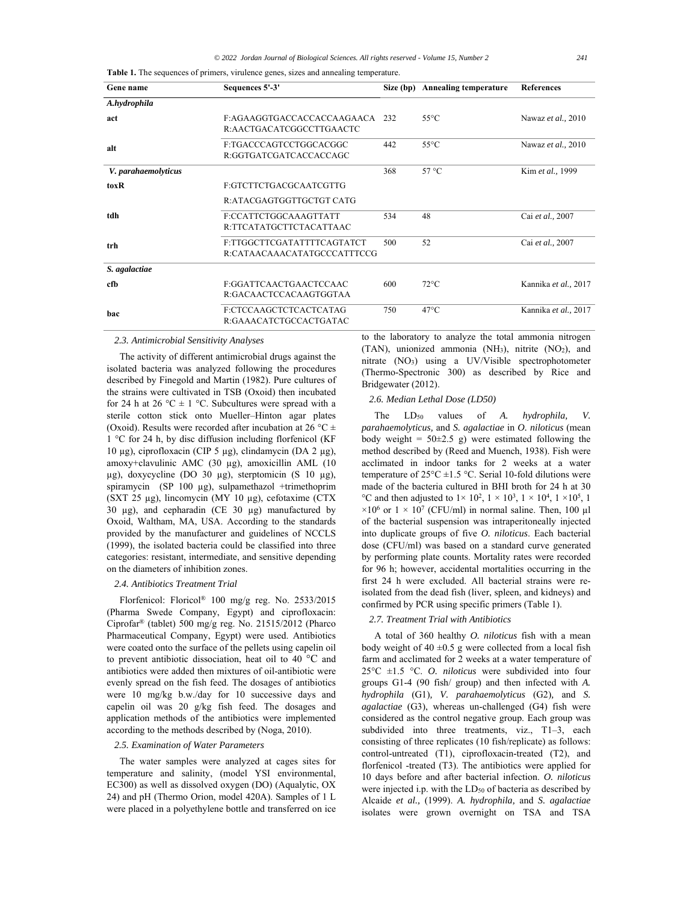**Table 1.** The sequences of primers, virulence genes, sizes and annealing temperature.

| Gene name           | Sequences 5'-3'             | Size (bp) | <b>Annealing temperature</b> | <b>References</b>    |
|---------------------|-----------------------------|-----------|------------------------------|----------------------|
| A.hydrophila        |                             |           |                              |                      |
| act                 | F:AGAAGGTGACCACCACCAAGAACA  | 232       | $55^{\circ}$ C               | Nawaz et al., 2010   |
|                     | R:AACTGACATCGGCCTTGAACTC    |           |                              |                      |
| alt                 | F:TGACCCAGTCCTGGCACGGC      | 442       | $55^{\circ}$ C               | Nawaz et al., 2010   |
|                     | R:GGTGATCGATCACCACCAGC      |           |                              |                      |
| V. parahaemolyticus |                             | 368       | $57^{\circ}$ C               | Kim et al., 1999     |
| toxR                | F:GTCTTCTGACGCAATCGTTG      |           |                              |                      |
|                     | R:ATACGAGTGGTTGCTGT CATG    |           |                              |                      |
| tdh                 | F:CCATTCTGGCAAAGTTATT       | 534       | 48                           | Cai et al., 2007     |
|                     | R:TTCATATGCTTCTACATTAAC     |           |                              |                      |
| trh                 | F:TTGGCTTCGATATTTTCAGTATCT  | 500       | 52                           | Cai et al., 2007     |
|                     | R:CATAACAAACATATGCCCATTTCCG |           |                              |                      |
| S. agalactiae       |                             |           |                              |                      |
| cfb                 | F:GGATTCAACTGAACTCCAAC      | 600       | $72^{\circ}$ C               | Kannika et al., 2017 |
|                     | R:GACAACTCCACAAGTGGTAA      |           |                              |                      |
| <b>bac</b>          | F:CTCCAAGCTCTCACTCATAG      | 750       | $47^{\circ}$ C               | Kannika et al., 2017 |
|                     | R:GAAACATCTGCCACTGATAC      |           |                              |                      |

#### *2.3. Antimicrobial Sensitivity Analyses*

The activity of different antimicrobial drugs against the isolated bacteria was analyzed following the procedures described by Finegold and Martin (1982). Pure cultures of the strains were cultivated in TSB (Oxoid) then incubated for 24 h at 26 °C  $\pm$  1 °C. Subcultures were spread with a sterile cotton stick onto Mueller–Hinton agar plates (Oxoid). Results were recorded after incubation at 26 °C  $\pm$ 1 °C for 24 h, by disc diffusion including florfenicol (KF 10 μg), ciprofloxacin (CIP 5 μg), clindamycin (DA 2 μg), amoxy+clavulinic AMC (30 µg), amoxicillin AML (10 µg), doxycycline (DO 30 µg), sterptomicin (S 10 µg), spiramycin (SP 100 µg), sulpamethazol +trimethoprim (SXT 25 µg), lincomycin (MY 10 µg), cefotaxime (CTX 30 µg), and cepharadin (CE 30 µg) manufactured by Oxoid, Waltham, MA, USA. According to the standards provided by the manufacturer and guidelines of NCCLS (1999), the isolated bacteria could be classified into three categories: resistant, intermediate, and sensitive depending on the diameters of inhibition zones.

## *2.4. Antibiotics Treatment Trial*

Florfenicol: Floricol® 100 mg/g reg. No. 2533/2015 (Pharma Swede Company, Egypt) and ciprofloxacin: Ciprofar® (tablet) 500 mg/g reg. No. 21515/2012 (Pharco Pharmaceutical Company, Egypt) were used. Antibiotics were coated onto the surface of the pellets using capelin oil to prevent antibiotic dissociation, heat oil to 40 °C and antibiotics were added then mixtures of oil-antibiotic were evenly spread on the fish feed. The dosages of antibiotics were 10 mg/kg b.w./day for 10 successive days and capelin oil was 20 g/kg fish feed. The dosages and application methods of the antibiotics were implemented according to the methods described by (Noga, 2010).

## *2.5. Examination of Water Parameters*

The water samples were analyzed at cages sites for temperature and salinity, (model YSI environmental, EC300) as well as dissolved oxygen (DO) (Aqualytic, OX 24) and pH (Thermo Orion, model 420A). Samples of 1 L were placed in a polyethylene bottle and transferred on ice

to the laboratory to analyze the total ammonia nitrogen (TAN), unionized ammonia (NH<sub>3</sub>), nitrite  $(NO<sub>2</sub>)$ , and nitrate (NO3) using a UV/Visible spectrophotometer (Thermo-Spectronic 300) as described by Rice and Bridgewater (2012).

# *2.6. Median Lethal Dose (LD50)*

The  $LD_{50}$  values of *A. hydrophila*, *V. parahaemolyticus,* and *S. agalactiae* in *O. niloticus* (mean body weight =  $50\pm2.5$  g) were estimated following the method described by (Reed and Muench, 1938). Fish were acclimated in indoor tanks for 2 weeks at a water temperature of  $25^{\circ}$ C  $\pm$ 1.5 °C. Serial 10-fold dilutions were made of the bacteria cultured in BHI broth for 24 h at 30 °C and then adjusted to  $1 \times 10^2$ ,  $1 \times 10^3$ ,  $1 \times 10^4$ ,  $1 \times 10^5$ , 1  $\times 10^6$  or  $1 \times 10^7$  (CFU/ml) in normal saline. Then, 100 µl of the bacterial suspension was intraperitoneally injected into duplicate groups of five *O. niloticus*. Each bacterial dose (CFU/ml) was based on a standard curve generated by performing plate counts. Mortality rates were recorded for 96 h; however, accidental mortalities occurring in the first 24 h were excluded. All bacterial strains were reisolated from the dead fish (liver, spleen, and kidneys) and confirmed by PCR using specific primers (Table 1).

# *2.7. Treatment Trial with Antibiotics*

A total of 360 healthy *O. niloticus* fish with a mean body weight of  $40 \pm 0.5$  g were collected from a local fish farm and acclimated for 2 weeks at a water temperature of 25°C ±1.5 °C. *O. niloticus* were subdivided into four groups G1-4 (90 fish/ group) and then infected with *A. hydrophila* (G1)*, V. parahaemolyticus* (G2)*,* and *S. agalactiae* (G3), whereas un-challenged (G4) fish were considered as the control negative group. Each group was subdivided into three treatments, viz., T1–3, each consisting of three replicates (10 fish/replicate) as follows: control-untreated (T1), ciprofloxacin-treated (T2), and florfenicol -treated (T3). The antibiotics were applied for 10 days before and after bacterial infection. *O. niloticus* were injected i.p. with the LD<sub>50</sub> of bacteria as described by Alcaide *et al.,* (1999). *A. hydrophila,* and *S. agalactiae* isolates were grown overnight on TSA and TSA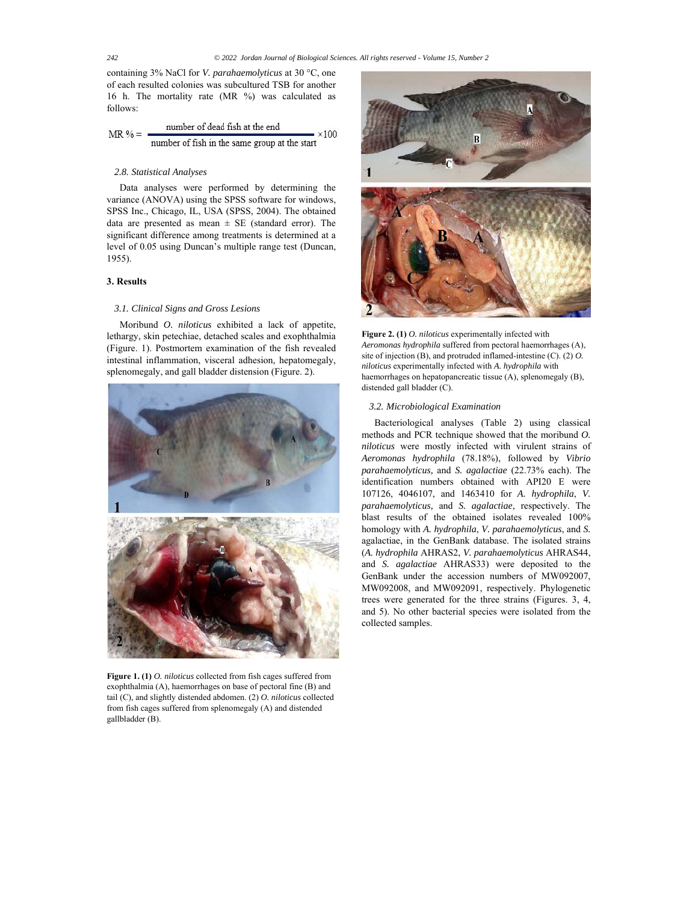containing 3% NaCl for *V. parahaemolyticus* at 30 °C, one of each resulted colonies was subcultured TSB for another 16 h. The mortality rate (MR %) was calculated as follows:

MR % = 
$$
\frac{\text{number of dead fish at the end}}{\text{number of fish in the same group at the start}} \times 100
$$

# *2.8. Statistical Analyses*

Data analyses were performed by determining the variance (ANOVA) using the SPSS software for windows, SPSS Inc., Chicago, IL, USA (SPSS, 2004). The obtained data are presented as mean  $\pm$  SE (standard error). The significant difference among treatments is determined at a level of 0.05 using Duncan's multiple range test (Duncan, 1955).

# **3. Results**

## *3.1. Clinical Signs and Gross Lesions*

Moribund *O. niloticus* exhibited a lack of appetite, lethargy, skin petechiae, detached scales and exophthalmia (Figure. 1). Postmortem examination of the fish revealed intestinal inflammation, visceral adhesion, hepatomegaly, splenomegaly, and gall bladder distension (Figure. 2).



**Figure 1. (1)** *O. niloticus* collected from fish cages suffered from exophthalmia (A), haemorrhages on base of pectoral fine (B) and tail (C), and slightly distended abdomen. (2) *O. niloticus* collected from fish cages suffered from splenomegaly (A) and distended gallbladder (B).



**Figure 2. (1)** *O. niloticus* experimentally infected with *Aeromonas hydrophila* suffered from pectoral haemorrhages (A), site of injection (B), and protruded inflamed-intestine (C). (2) *O. niloticus* experimentally infected with *A. hydrophila* with haemorrhages on hepatopancreatic tissue (A), splenomegaly (B), distended gall bladder (C).

## *3.2. Microbiological Examination*

Bacteriological analyses (Table 2) using classical methods and PCR technique showed that the moribund *O. niloticus* were mostly infected with virulent strains of *Aeromonas hydrophila* (78.18%), followed by *Vibrio parahaemolyticus,* and *S. agalactiae* (22.73% each). The identification numbers obtained with API20 E were 107126, 4046107, and 1463410 for *A. hydrophila*, *V. parahaemolyticus,* and *S. agalactiae*, respectively. The blast results of the obtained isolates revealed 100% homology with *A. hydrophila*, *V. parahaemolyticus*, and *S.*  agalactiae, in the GenBank database. The isolated strains (*A. hydrophila* AHRAS2, *V. parahaemolyticus* AHRAS44, and *S. agalactiae* AHRAS33) were deposited to the GenBank under the accession numbers of MW092007, MW092008, and MW092091, respectively. Phylogenetic trees were generated for the three strains (Figures. 3, 4, and 5). No other bacterial species were isolated from the collected samples.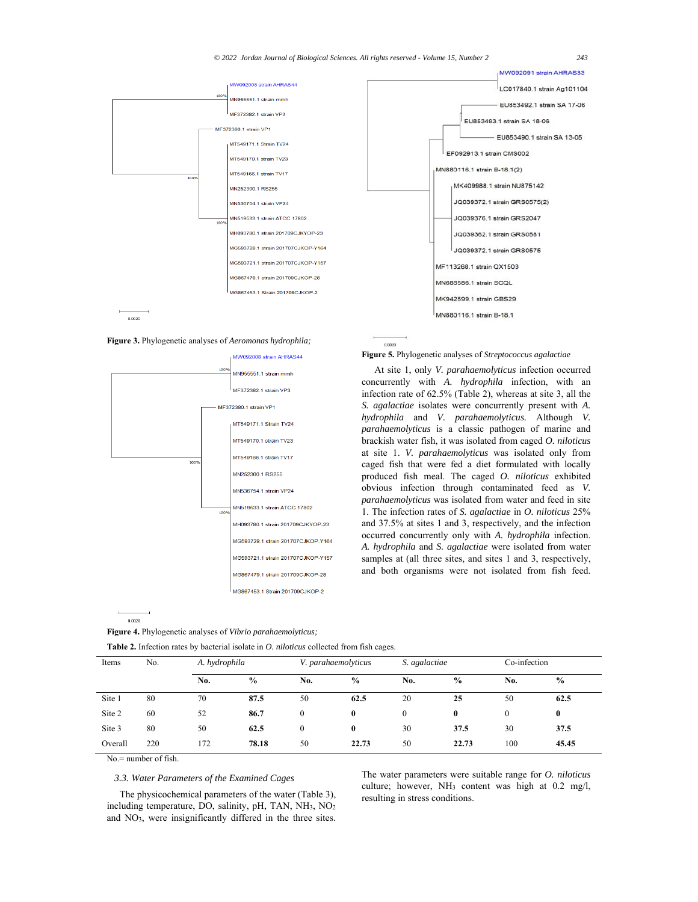

0.0020





**Figure 4.** Phylogenetic analyses of *Vibrio parahaemolyticus;* 

**Figure 5.** Phylogenetic analyses of *Streptococcus agalactiae*

At site 1, only *V. parahaemolyticus* infection occurred concurrently with *A. hydrophila* infection, with an infection rate of 62.5% (Table 2), whereas at site 3, all the *S. agalactiae* isolates were concurrently present with *A. hydrophila* and *V. parahaemolyticus.* Although *V. parahaemolyticus* is a classic pathogen of marine and brackish water fish, it was isolated from caged *O. niloticus* at site 1. *V. parahaemolyticus* was isolated only from caged fish that were fed a diet formulated with locally produced fish meal. The caged *O. niloticus* exhibited obvious infection through contaminated feed as *V. parahaemolyticus* was isolated from water and feed in site 1. The infection rates of *S. agalactiae* in *O. niloticus* 25% and 37.5% at sites 1 and 3, respectively, and the infection occurred concurrently only with *A. hydrophila* infection. *A. hydrophila* and *S. agalactiae* were isolated from water samples at (all three sites, and sites 1 and 3, respectively, and both organisms were not isolated from fish feed.

| Items   | No. |     | A. hydrophila |              | <b>Table 2.</b> Infection rates by bacterial isolate in <i>O. niloticus</i> collected from fish cages.<br>V. parahaemolyticus |              | S. agalactiae |          | Co-infection  |  |
|---------|-----|-----|---------------|--------------|-------------------------------------------------------------------------------------------------------------------------------|--------------|---------------|----------|---------------|--|
|         |     | No. | $\frac{0}{0}$ | No.          | $\frac{0}{0}$                                                                                                                 | No.          | $\frac{0}{0}$ | No.      | $\frac{0}{0}$ |  |
| Site 1  | 80  | 70  | 87.5          | 50           | 62.5                                                                                                                          | 20           | 25            | 50       | 62.5          |  |
| Site 2  | 60  | 52  | 86.7          | $\theta$     | $\bf{0}$                                                                                                                      | $\mathbf{0}$ | $\bf{0}$      | $\theta$ | $\bf{0}$      |  |
| Site 3  | 80  | 50  | 62.5          | $\mathbf{0}$ | $\bf{0}$                                                                                                                      | 30           | 37.5          | 30       | 37.5          |  |
| Overall | 220 | 172 | 78.18         | 50           | 22.73                                                                                                                         | 50           | 22.73         | 100      | 45.45         |  |

No.= number of fish.

 $0.0020$ 

# *3.3. Water Parameters of the Examined Cages*

The physicochemical parameters of the water (Table 3), including temperature, DO, salinity, pH, TAN, NH3, NO2 and NO3, were insignificantly differed in the three sites.

The water parameters were suitable range for *O. niloticus* culture; however, NH3 content was high at 0.2 mg/l, resulting in stress conditions.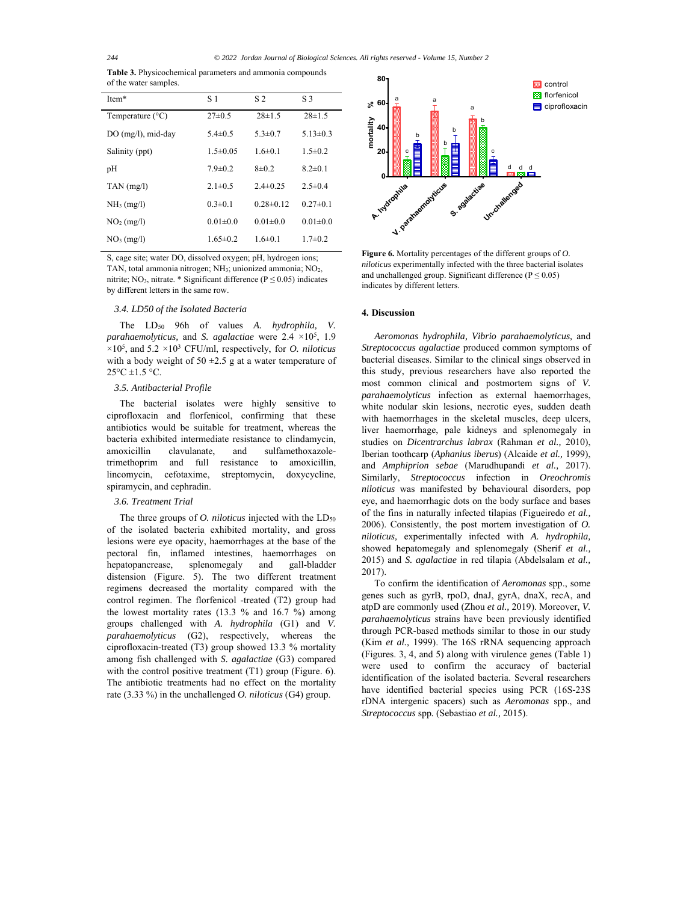**Table 3.** Physicochemical parameters and ammonia compounds of the water samples.

| Item*                     | S 1            | S <sub>2</sub> | S <sub>3</sub> |
|---------------------------|----------------|----------------|----------------|
| Temperature $(^{\circ}C)$ | $27\pm0.5$     | $28 \pm 1.5$   | $28 \pm 1.5$   |
| DO (mg/l), mid-day        | $5.4 \pm 0.5$  | $5.3 \pm 0.7$  | $5.13 \pm 0.3$ |
| Salinity (ppt)            | $1.5 \pm 0.05$ | $1.6 + 0.1$    | $1.5 \pm 0.2$  |
| pH                        | $7.9 \pm 0.2$  | $8\pm 0.2$     | $8.2 \pm 0.1$  |
| $TAN$ (mg/l)              | $2.1 \pm 0.5$  | $2.4 \pm 0.25$ | $2.5 \pm 0.4$  |
| $NH3$ (mg/l)              | $0.3 \pm 0.1$  | $0.28 + 0.12$  | $0.27 \pm 0.1$ |
| $NO2$ (mg/l)              | $0.01 \pm 0.0$ | $0.01 \pm 0.0$ | $0.01 \pm 0.0$ |
| NO <sub>3</sub> (mg/l)    | $1.65 \pm 0.2$ | $1.6 \pm 0.1$  | $1.7 \pm 0.2$  |

S, cage site; water DO, dissolved oxygen; pH, hydrogen ions; TAN, total ammonia nitrogen; NH<sub>3</sub>; unionized ammonia; NO<sub>2</sub>, nitrite; NO<sub>3</sub>, nitrate. \* Significant difference ( $P \le 0.05$ ) indicates by different letters in the same row.

## *3.4. LD50 of the Isolated Bacteria*

The LD50 96h of values *A. hydrophila, V. parahaemolyticus,* and *S. agalactiae* were 2.4 ×105, 1.9 ×105 , and 5.2 ×103 CFU/ml, respectively, for *O. niloticus* with a body weight of  $50 \pm 2.5$  g at a water temperature of  $25^{\circ}$ C  $\pm$ 1.5 °C.

## *3.5. Antibacterial Profile*

The bacterial isolates were highly sensitive to ciprofloxacin and florfenicol, confirming that these antibiotics would be suitable for treatment, whereas the bacteria exhibited intermediate resistance to clindamycin, amoxicillin clavulanate, and sulfamethoxazoletrimethoprim and full resistance to amoxicillin, lincomycin, cefotaxime, streptomycin, doxycycline, spiramycin, and cephradin.

#### *3.6. Treatment Trial*

The three groups of *O. niloticus* injected with the LD<sub>50</sub> of the isolated bacteria exhibited mortality, and gross lesions were eye opacity, haemorrhages at the base of the pectoral fin, inflamed intestines, haemorrhages on hepatopancrease, splenomegaly and gall-bladder distension (Figure. 5). The two different treatment regimens decreased the mortality compared with the control regimen. The florfenicol -treated (T2) group had the lowest mortality rates (13.3 % and 16.7 %) among groups challenged with *A. hydrophila* (G1) and *V. parahaemolyticus* (G2), respectively, whereas the ciprofloxacin-treated (T3) group showed 13.3 % mortality among fish challenged with *S. agalactiae* (G3) compared with the control positive treatment (T1) group (Figure. 6). The antibiotic treatments had no effect on the mortality rate (3.33 %) in the unchallenged *O. niloticus* (G4) group.



**Figure 6.** Mortality percentages of the different groups of *O. niloticus* experimentally infected with the three bacterial isolates and unchallenged group. Significant difference ( $P \le 0.05$ ) indicates by different letters.

# **4. Discussion**

*Aeromonas hydrophila, Vibrio parahaemolyticus,* and *Streptococcus agalactiae* produced common symptoms of bacterial diseases. Similar to the clinical sings observed in this study, previous researchers have also reported the most common clinical and postmortem signs of *V. parahaemolyticus* infection as external haemorrhages, white nodular skin lesions, necrotic eyes, sudden death with haemorrhages in the skeletal muscles, deep ulcers, liver haemorrhage, pale kidneys and splenomegaly in studies on *Dicentrarchus labrax* (Rahman *et al.,* 2010), Iberian toothcarp (*Aphanius iberus*) (Alcaide *et al.,* 1999), and *Amphiprion sebae* (Marudhupandi *et al.,* 2017). Similarly, *Streptococcus* infection in *Oreochromis niloticus* was manifested by behavioural disorders, pop eye, and haemorrhagic dots on the body surface and bases of the fins in naturally infected tilapias (Figueiredo *et al.,*  2006). Consistently, the post mortem investigation of *O. niloticus,* experimentally infected with *A. hydrophila,* showed hepatomegaly and splenomegaly (Sherif *et al.,*  2015) and *S. agalactiae* in red tilapia (Abdelsalam *et al.,*  2017).

To confirm the identification of *Aeromonas* spp., some genes such as gyrB, rpoD, dnaJ, gyrA, dnaX, recA, and atpD are commonly used (Zhou *et al.,* 2019). Moreover, *V. parahaemolyticus* strains have been previously identified through PCR-based methods similar to those in our study (Kim *et al.,* 1999). The 16S rRNA sequencing approach (Figures. 3, 4, and 5) along with virulence genes (Table 1) were used to confirm the accuracy of bacterial identification of the isolated bacteria. Several researchers have identified bacterial species using PCR (16S-23S rDNA intergenic spacers) such as *Aeromonas* spp., and *Streptococcus* spp*.* (Sebastiao *et al.,* 2015).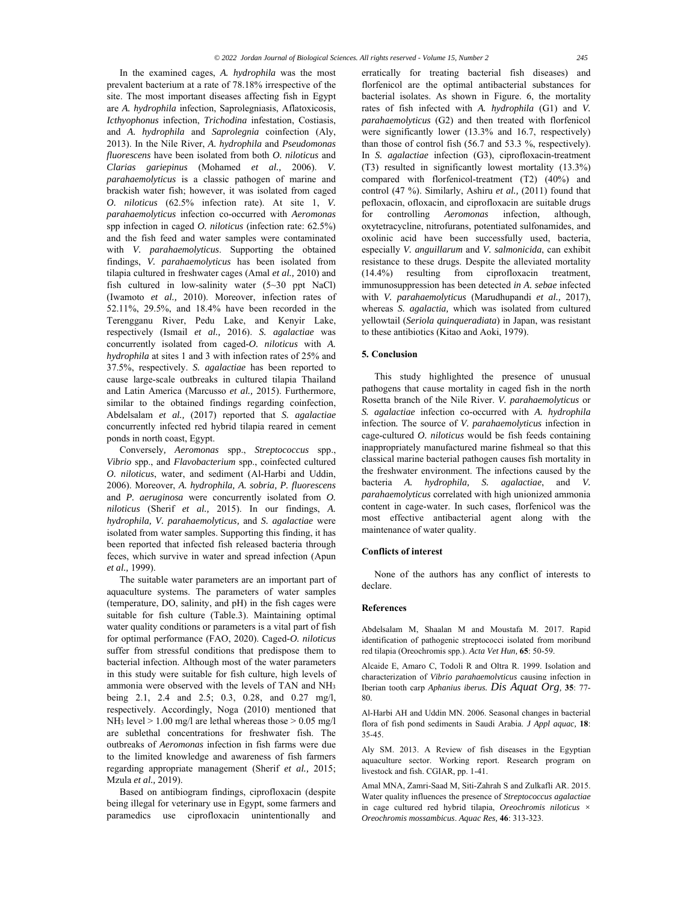In the examined cages, *A. hydrophila* was the most prevalent bacterium at a rate of 78.18% irrespective of the site. The most important diseases affecting fish in Egypt are *A. hydrophila* infection, Saprolegniasis, Aflatoxicosis, *Icthyophonus* infection, *Trichodina* infestation, Costiasis, and *A. hydrophila* and *Saprolegnia* coinfection (Aly, 2013). In the Nile River, *A. hydrophila* and *Pseudomonas fluorescens* have been isolated from both *O. niloticus* and *Clarias gariepinus* (Mohamed *et al.,* 2006). *V. parahaemolyticus* is a classic pathogen of marine and brackish water fish; however, it was isolated from caged *O. niloticus* (62.5% infection rate). At site 1, *V. parahaemolyticus* infection co-occurred with *Aeromonas*  spp infection in caged *O. niloticus* (infection rate: 62.5%) and the fish feed and water samples were contaminated with *V. parahaemolyticus*. Supporting the obtained findings, *V. parahaemolyticus* has been isolated from tilapia cultured in freshwater cages (Amal *et al.,* 2010) and fish cultured in low-salinity water (5~30 ppt NaCl) (Iwamoto *et al.,* 2010). Moreover, infection rates of 52.11%, 29.5%, and 18.4% have been recorded in the Terengganu River, Pedu Lake, and Kenyir Lake, respectively (Ismail *et al.,* 2016). *S. agalactiae* was concurrently isolated from caged-*O. niloticus* with *A. hydrophila* at sites 1 and 3 with infection rates of 25% and 37.5%, respectively. *S. agalactiae* has been reported to cause large-scale outbreaks in cultured tilapia Thailand and Latin America (Marcusso *et al.,* 2015). Furthermore, similar to the obtained findings regarding coinfection, Abdelsalam *et al.,* (2017) reported that *S. agalactiae* concurrently infected red hybrid tilapia reared in cement ponds in north coast, Egypt.

Conversely*, Aeromonas* spp., *Streptococcus* spp., *Vibrio* spp., and *Flavobacterium* spp., coinfected cultured *O. niloticus*, water, and sediment (Al-Harbi and Uddin, 2006). Moreover, *A. hydrophila, A. sobria, P. fluorescens*  and *P. aeruginosa* were concurrently isolated from *O. niloticus* (Sherif *et al.,* 2015). In our findings, *A. hydrophila, V. parahaemolyticus,* and *S. agalactiae* were isolated from water samples. Supporting this finding, it has been reported that infected fish released bacteria through feces, which survive in water and spread infection (Apun *et al.,* 1999).

The suitable water parameters are an important part of aquaculture systems. The parameters of water samples (temperature, DO, salinity, and pH) in the fish cages were suitable for fish culture (Table.3). Maintaining optimal water quality conditions or parameters is a vital part of fish for optimal performance (FAO, 2020). Caged*-O. niloticus* suffer from stressful conditions that predispose them to bacterial infection. Although most of the water parameters in this study were suitable for fish culture, high levels of ammonia were observed with the levels of TAN and NH3 being 2.1, 2.4 and 2.5; 0.3, 0.28, and 0.27 mg/l, respectively. Accordingly, Noga (2010) mentioned that NH3 level > 1.00 mg/l are lethal whereas those > 0.05 mg/l are sublethal concentrations for freshwater fish. The outbreaks of *Aeromonas* infection in fish farms were due to the limited knowledge and awareness of fish farmers regarding appropriate management (Sherif *et al.,* 2015; Mzula *et al.,* 2019).

Based on antibiogram findings, ciprofloxacin (despite being illegal for veterinary use in Egypt, some farmers and paramedics use ciprofloxacin unintentionally and

erratically for treating bacterial fish diseases) and florfenicol are the optimal antibacterial substances for bacterial isolates. As shown in Figure. 6, the mortality rates of fish infected with *A. hydrophila* (G1) and *V. parahaemolyticus* (G2) and then treated with florfenicol were significantly lower (13.3% and 16.7, respectively) than those of control fish (56.7 and 53.3 %, respectively). In *S. agalactiae* infection (G3), ciprofloxacin-treatment (T3) resulted in significantly lowest mortality (13.3%) compared with florfenicol-treatment (T2) (40%) and control (47 %). Similarly, Ashiru *et al.,* (2011) found that pefloxacin, ofloxacin, and ciprofloxacin are suitable drugs for controlling *Aeromonas* infection, although, oxytetracycline, nitrofurans, potentiated sulfonamides, and oxolinic acid have been successfully used, bacteria, especially *V. anguillarum* and *V. salmonicida*, can exhibit resistance to these drugs. Despite the alleviated mortality (14.4%) resulting from ciprofloxacin treatment, immunosuppression has been detected *in A. sebae* infected with *V. parahaemolyticus* (Marudhupandi *et al.,* 2017), whereas *S. agalactia,* which was isolated from cultured yellowtail (*Seriola quinqueradiata*) in Japan, was resistant to these antibiotics (Kitao and Aoki, 1979).

#### **5. Conclusion**

This study highlighted the presence of unusual pathogens that cause mortality in caged fish in the north Rosetta branch of the Nile River. *V. parahaemolyticus* or *S. agalactiae* infection co-occurred with *A. hydrophila*  infection*.* The source of *V. parahaemolyticus* infection in cage-cultured *O. niloticus* would be fish feeds containing inappropriately manufactured marine fishmeal so that this classical marine bacterial pathogen causes fish mortality in the freshwater environment. The infections caused by the bacteria *A. hydrophila, S. agalactiae*, and *V. parahaemolyticus* correlated with high unionized ammonia content in cage-water. In such cases, florfenicol was the most effective antibacterial agent along with the maintenance of water quality.

#### **Conflicts of interest**

None of the authors has any conflict of interests to declare.

#### **References**

Abdelsalam M, Shaalan M and Moustafa M. 2017. Rapid identification of pathogenic streptococci isolated from moribund red tilapia (Oreochromis spp.). *Acta Vet Hun,* **65**: 50-59.

Alcaide E, Amaro C, Todoli R and Oltra R. 1999. Isolation and characterization of *Vibrio parahaemolyticus* causing infection in Iberian tooth carp *Aphanius iberus. Dis Aquat Org,* **35**: 77- 80.

Al-Harbi AH and Uddin MN. 2006. Seasonal changes in bacterial flora of fish pond sediments in Saudi Arabia. *J Appl aquac,* **18**: 35-45.

Aly SM. 2013. A Review of fish diseases in the Egyptian aquaculture sector. Working report. Research program on livestock and fish. CGIAR, pp. 1-41.

Amal MNA, Zamri-Saad M, Siti-Zahrah S and Zulkafli AR. 2015. Water quality influences the presence of *Streptococcus agalactiae*  in cage cultured red hybrid tilapia, *Oreochromis niloticus × Oreochromis mossambicus*. *Aquac Res,* **46**: 313-323.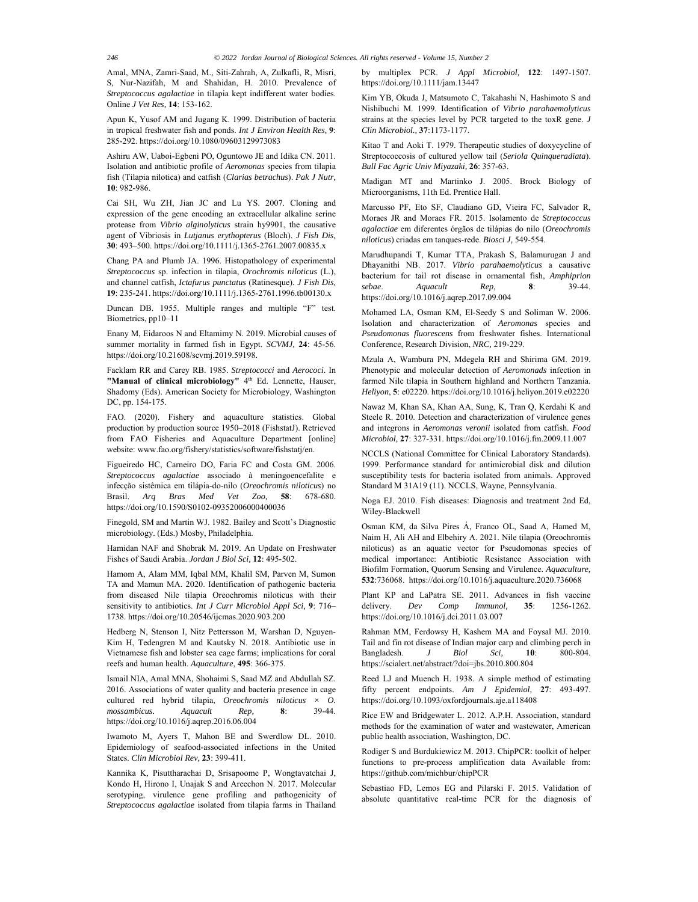Amal, MNA, Zamri-Saad, M., Siti-Zahrah, A, Zulkafli, R, Misri, S, Nur-Nazifah, M and Shahidan, H. 2010. Prevalence of *Streptococcus agalactiae* in tilapia kept indifferent water bodies. Online *J Vet Res,* **14**: 153-162.

Apun K, Yusof AM and Jugang K. 1999. Distribution of bacteria in tropical freshwater fish and ponds. *Int J Environ Health Res,* **9**: 285-292. https://doi.org/10.1080/09603129973083

Ashiru AW, Uaboi-Egbeni PO, Oguntowo JE and Idika CN. 2011. Isolation and antibiotic profile of *Aeromonas* species from tilapia fish (Tilapia nilotica) and catfish (*Clarias betrachus*). *Pak J Nutr,* **10**: 982-986.

Cai SH, Wu ZH, Jian JC and Lu YS. 2007. Cloning and expression of the gene encoding an extracellular alkaline serine protease from *Vibrio alginolyticus* strain hy9901, the causative agent of Vibriosis in *Lutjanus erythopterus* (Bloch). *J Fish Dis,* **30**: 493–500. https://doi.org/10.1111/j.1365-2761.2007.00835.x

Chang PA and Plumb JA. 1996. Histopathology of experimental *Streptococcus* sp. infection in tilapia, *Orochromis niloticus* (L.), and channel catfish, *Ictafurus punctatus* (Ratinesque). *J Fish Dis,* **19**: 235-241. https://doi.org/10.1111/j.1365-2761.1996.tb00130.x

Duncan DB. 1955. Multiple ranges and multiple "F" test. Biometrics, pp10–11

Enany M, Eidaroos N and Eltamimy N. 2019. Microbial causes of summer mortality in farmed fish in Egypt. *SCVMJ,* **24**: 45-56. https://doi.org/10.21608/scvmj.2019.59198.

Facklam RR and Carey RB. 1985. *Streptococci* and *Aerococi*. In "Manual of clinical microbiology" 4<sup>th</sup> Ed. Lennette, Hauser, Shadomy (Eds). American Society for Microbiology, Washington DC, pp. 154-175.

FAO. (2020). Fishery and aquaculture statistics. Global production by production source 1950–2018 (FishstatJ). Retrieved from FAO Fisheries and Aquaculture Department [online] website: www.fao.org/fishery/statistics/software/fishstatj/en.

Figueiredo HC, Carneiro DO, Faria FC and Costa GM. 2006. *Streptococcus agalactiae* associado à meningoencefalite e infecção sistêmica em tilápia-do-nilo (*Oreochromis niloticus*) no Brasil. *Arq Bras Med Vet Zoo,* **58**: 678-680. https://doi.org/10.1590/S0102-09352006000400036

Finegold, SM and Martin WJ. 1982. Bailey and Scott's Diagnostic microbiology. (Eds.) Mosby, Philadelphia.

Hamidan NAF and Shobrak M. 2019. An Update on Freshwater Fishes of Saudi Arabia. *Jordan J Biol Sci,* **12**: 495-502.

Hamom A, Alam MM, Iqbal MM, Khalil SM, Parven M, Sumon TA and Mamun MA. 2020. Identification of pathogenic bacteria from diseased Nile tilapia Oreochromis niloticus with their sensitivity to antibiotics. *Int J Curr Microbiol Appl Sci,* **9**: 716– 1738. https://doi.org/10.20546/ijcmas.2020.903.200

Hedberg N, Stenson I, Nitz Pettersson M, Warshan D, Nguyen-Kim H, Tedengren M and Kautsky N. 2018. Antibiotic use in Vietnamese fish and lobster sea cage farms; implications for coral reefs and human health. *Aquaculture*, **495**: 366-375.

Ismail NIA, Amal MNA, Shohaimi S, Saad MZ and Abdullah SZ. 2016. Associations of water quality and bacteria presence in cage cultured red hybrid tilapia, *Oreochromis niloticus × O. mossambicus. Aquacult Rep,* **8**: 39-44. https://doi.org/10.1016/j.aqrep.2016.06.004

Iwamoto M, Ayers T, Mahon BE and Swerdlow DL. 2010. Epidemiology of seafood-associated infections in the United States. *Clin Microbiol Rev,* **23**: 399-411.

Kannika K, Pisuttharachai D, Srisapoome P, Wongtavatchai J, Kondo H, Hirono I, Unajak S and Areechon N. 2017. Molecular serotyping, virulence gene profiling and pathogenicity of *Streptococcus agalactiae* isolated from tilapia farms in Thailand by multiplex PCR. *J Appl Microbiol,* **122**: 1497-1507. https://doi.org/10.1111/jam.13447

Kim YB, Okuda J, Matsumoto C, Takahashi N, Hashimoto S and Nishibuchi M. 1999. Identification of *Vibrio parahaemolyticus*  strains at the species level by PCR targeted to the toxR gene. *J Clin Microbiol.,* **37**:1173-1177.

Kitao T and Aoki Τ. 1979. Therapeutic studies of doxycycline of Streptococcosis of cultured yellow tail (*Seriola Quinqueradiata*). *Bull Fac Agric Univ Miyazaki,* **26**: 357-63.

Madigan MT and Martinko J. 2005. Brock Biology of Microorganisms, 11th Ed. Prentice Hall.

Marcusso PF, Eto SF, Claudiano GD, Vieira FC, Salvador R, Moraes JR and Moraes FR. 2015. Isolamento de *Streptococcus agalactiae* em diferentes órgãos de tilápias do nilo (*Oreochromis niloticus*) criadas em tanques-rede. *Biosci J,* 549-554.

Marudhupandi T, Kumar TTA, Prakash S, Balamurugan J and Dhayanithi NB. 2017. *Vibrio parahaemolyticus* a causative bacterium for tail rot disease in ornamental fish, *Amphiprion sebae*. *Aquacult Rep,* **8**: 39-44. https://doi.org/10.1016/j.aqrep.2017.09.004

Mohamed LA, Osman KM, El-Seedy S and Soliman W. 2006. Isolation and characterization of *Aeromonas* species and *Pseudomonas fluorescens* from freshwater fishes. International Conference, Research Division, *NRC,* 219-229.

Mzula A, Wambura PN, Mdegela RH and Shirima GM. 2019. Phenotypic and molecular detection of *Aeromonads* infection in farmed Nile tilapia in Southern highland and Northern Tanzania. *Heliyon*, **5**: e02220. https://doi.org/10.1016/j.heliyon.2019.e02220

Nawaz M, Khan SA, Khan AA, Sung, K, Tran Q, Kerdahi K and Steele R. 2010. Detection and characterization of virulence genes and integrons in *Aeromonas veronii* isolated from catfish. *Food Microbiol,* **27**: 327-331. https://doi.org/10.1016/j.fm.2009.11.007

NCCLS (National Committee for Clinical Laboratory Standards). 1999. Performance standard for antimicrobial disk and dilution susceptibility tests for bacteria isolated from animals. Approved Standard M 31A19 (11). NCCLS, Wayne, Pennsylvania.

Noga EJ. 2010. Fish diseases: Diagnosis and treatment 2nd Ed, Wiley-Blackwell

Osman KM, da Silva Pires Á, Franco OL, Saad A, Hamed M, Naim H, Ali AH and Elbehiry A. 2021. Nile tilapia (Oreochromis niloticus) as an aquatic vector for Pseudomonas species of medical importance: Antibiotic Resistance Association with Biofilm Formation, Quorum Sensing and Virulence. *Aquaculture,*  **532**:736068. https://doi.org/10.1016/j.aquaculture.2020.736068

Plant KP and LaPatra SE. 2011. Advances in fish vaccine delivery. *Dev Comp Immunol,* **35**: 1256-1262. https://doi.org/10.1016/j.dci.2011.03.007

Rahman MM, Ferdowsy H, Kashem MA and Foysal MJ. 2010. Tail and fin rot disease of Indian major carp and climbing perch in Bangladesh. *J Biol Sci,* **10**: 800-804. https://scialert.net/abstract/?doi=jbs.2010.800.804

Reed LJ and Muench H. 1938. A simple method of estimating fifty percent endpoints. *Am J Epidemiol,* **27**: 493-497. https://doi.org/10.1093/oxfordjournals.aje.a118408

Rice EW and Bridgewater L. 2012. A.P.H. Association, standard methods for the examination of water and wastewater, American public health association, Washington, DC.

Rodiger S and Burdukiewicz M. 2013. ChipPCR: toolkit of helper functions to pre-process amplification data Available from: https://github.com/michbur/chipPCR

Sebastiao FD, Lemos EG and Pilarski F. 2015. Validation of absolute quantitative real-time PCR for the diagnosis of